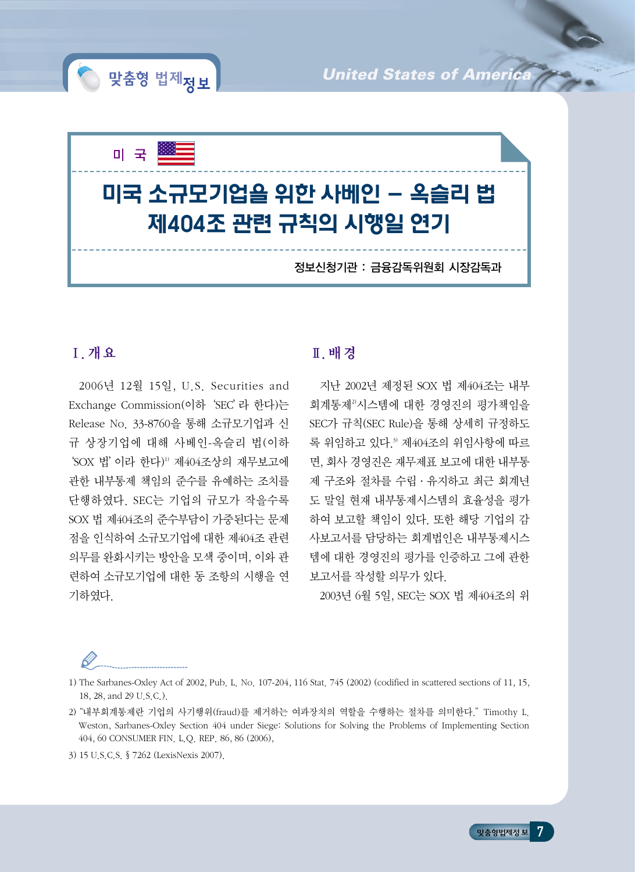

## Ⅰ. 개요

2006년 12월 15일, U.S. Securities and Exchange Commission(이하'SEC'라 한다)는 Release No. 33-8760을 통해 소규모기업과 신 규 상장기업에 대해 사베인-옥슬리 법(이하 'SOX 법' 이라 한다)<sup>1)</sup> 제404조상의 재무보고에 관한 내부통제 책임의 준수를 유예하는 조치를 단행하였다. SEC는 기업의 규모가 작을수록 SOX 법 제404조의 준수부담이 가중된다는 문제 점을 인식하여 소규모기업에 대한 제404조 관련 의무를 완화시키는 방안을 모색 중이며, 이와 관 련하여 소규모기업에 대한 동 조항의 시행을 연 기하였다.

) 맞춤형 법제<sub>정 보</sub>

# Ⅱ. 배경

지난 2002년 제정된 SOX 법 제404조는 내부 회계통제2)시스템에 대한 경영진의 평가책임을 SEC가 규칙(SEC Rule)을 통해 상세히 규정하도 록 위임하고 있다.3) 제404조의 위임사항에 따르 면, 회사 경영진은 재무제표 보고에 대한 내부통 제 구조와 절차를 수립·유지하고 최근 회계년 도 말일 현재 내부통제시스템의 효율성을 평가 하여 보고할 책임이 있다. 또한 해당 기업의 감 사보고서를 담당하는 회계법인은 내부통제시스 템에 대한 경영진의 평가를 인증하고 그에 관한 보고서를 작성할 의무가 있다.

*United States of Ameri* 

2003년 6월 5일, SEC는 SOX 법 제404조의 위

1) The Sarbanes-Oxley Act of 2002, Pub. L. No. 107-204, 116 Stat. 745 (2002) (codified in scattered sections of 11, 15, 18, 28, and 29 U.S.C.).

2) "내부회계통제란 기업의 사기행위(fraud)를 제거하는 여과장치의 역할을 수행하는 절차를 의미한다."Timothy L. Weston, Sarbanes-Oxley Section 404 under Siege: Solutions for Solving the Problems of Implementing Section 404, 60 CONSUMER FIN. L.Q. REP. 86, 86 (2006),

3) 15 U.S.C.S. §7262 (LexisNexis 2007).

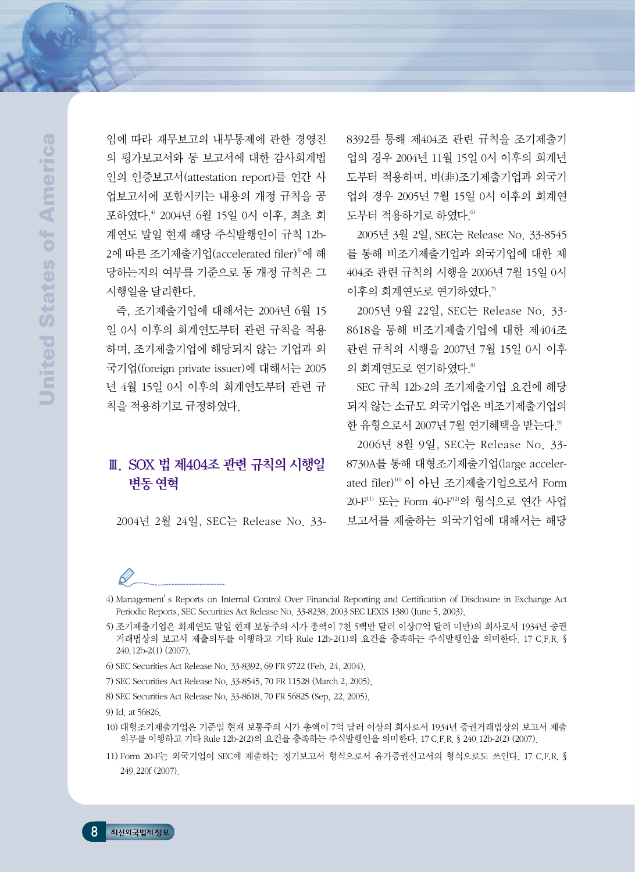임에 따라 재무보고의 내부통제에 관한 경영진 의 평가보고서와 동 보고서에 대한 감사회계법 인의 인증보고서(attestation report)를 연간 사 업보고서에 포함시키는 내용의 개정 규칙을 공 포하였다.4) 2004년 6월 15일 0시 이후, 최초 회 계연도 말일 현재 해당 주식발행인이 규칙 12b-2에 따른 조기제출기업(accelerated filer)<sup>5)</sup>에 해 당하는지의 여부를 기준으로 동 개정 규칙은 그 시행일을 달리한다.

즉, 조기제출기업에 대해서는 2004년 6월 15 일 0시 이후의 회계연도부터 관련 규칙을 적용 하며, 조기제출기업에 해당되지 않는 기업과 외 국기업(foreign private issuer)에 대해서는 2005 년 4월 15일 0시 이후의 회계연도부터 관련 규 칙을 적용하기로 규정하였다.

# Ⅲ. SOX 법 제404조 관련 규칙의 시행일 변동연혁

2004년 2월 24일, SEC는 Release No. 33-

8392를 통해 제404조 관련 규칙을 조기제출기 업의 경우 2004년 11월 15일 0시 이후의 회계년 도부터 적용하며, 비(非)조기제출기업과 외국기 업의 경우 2005년 7월 15일 0시 이후의 회계연 도부터 적용하기로 하였다.<sup>6)</sup>

2005년 3월 2일, SEC는 Release No. 33-8545 를 통해 비조기제출기업과 외국기업에 대한 제 404조 관련 규칙의 시행을 2006년 7월 15일 0시 이후의 회계연도로 연기하였다.7)

2005년 9월 22일, SEC는 Release No. 33- 8618을 통해 비조기제출기업에 대한 제404조 관련 규칙의 시행을 2007년 7월 15일 0시 이후 의 회계연도로 연기하였다.8)

SEC 규칙 12b-2의 조기제출기업 요건에 해당 되지 않는 소규모 외국기업은 비조기제출기업의 한 유형으로서 2007년 7월 연기혜택을 받는다.9)

2006년 8월 9일, SEC는 Release No. 33- 8730A를 통해 대형조기제출기업(large accelerated filer)10) 이 아닌 조기제출기업으로서 Form 20-F11) 또는 Form 40-F12)의 형식으로 연간 사업 보고서를 제출하는 외국기업에 대해서는 해당

В 4) Management's Reports on Internal Control Over Financial Reporting and Certification of Disclosure in Exchange Act Periodic Reports, SEC Securities Act Release No. 33-8238, 2003 SEC LEXIS 1380 (June 5, 2003).

- 5) 조기제출기업은 회계연도 말일 현재 보통주의 시가 총액이 7천 5백만 달러 이상(7억 달러 미만)의 회사로서 1934년 증권 거래법상의 보고서 제출의무를 이행하고 기타 Rule 12b-2(1)의 요건을 충족하는 주식발행인을 의미한다. 17 C.F.R. § 240.12b-2(1) (2007).
- 6) SEC Securities Act Release No. 33-8392, 69 FR 9722 (Feb. 24, 2004).
- 7) SEC Securities Act Release No. 33-8545, 70 FR 11528 (March 2, 2005).
- 8) SEC Securities Act Release No. 33-8618, 70 FR 56825 (Sep. 22, 2005).

- 10) 대형조기제출기업은 기준일 현재 보통주의 시가 총액이 7억 달러 이상의 회사로서 1934년 증권거래법상의 보고서 제출 의무를 이행하고 기타 Rule 12b-2(2)의 요건을 충족하는 주식발행인을 의미한다. 17 C.F.R. §240.12b-2(2) (2007).
- 11) Form 20-F는 외국기업이 SEC에 제출하는 정기보고서 형식으로서 유가증권신고서의 형식으로도 쓰인다. 17 C.F.R. § 249.220f (2007).

<sup>9)</sup> Id. at 56826.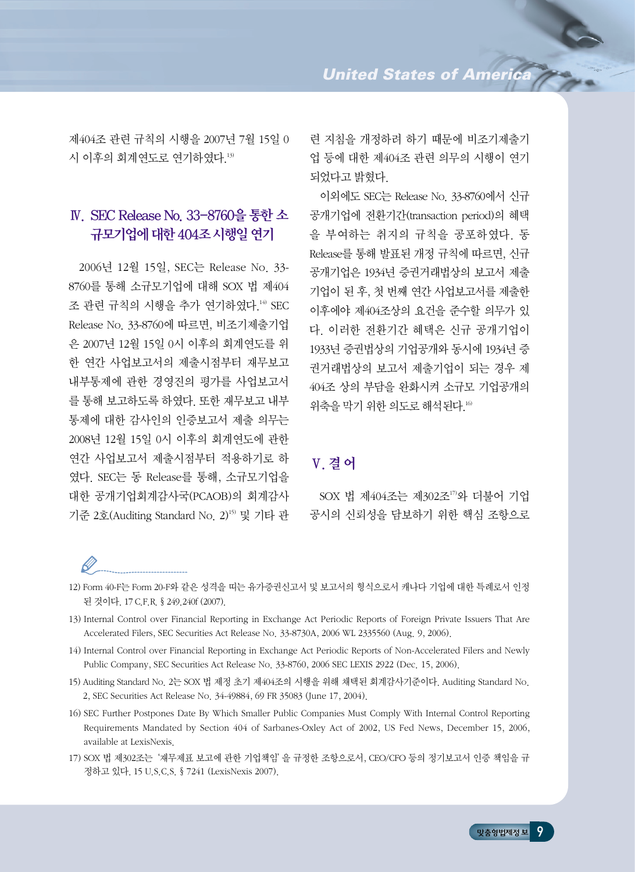제404조 관련 규칙의 시행을 2007년 7월 15일 0 시 이후의 회계연도로 연기하였다.13)

# Ⅳ. SEC Release No. 33-8760을통한소 규모기업에 대한 404조 시행일 여기

2006년 12월 15일, SEC는 Release No. 33- 8760를 통해 소규모기업에 대해 SOX 법 제404 조 관련 규칙의 시행을 추가 연기하였다.<sup>14)</sup> SEC Release No. 33-8760에 따르면, 비조기제출기업 은 2007년 12월 15일 0시 이후의 회계연도를 위 한 연간 사업보고서의 제출시점부터 재무보고 내부통제에 관한 경영진의 평가를 사업보고서 를 통해 보고하도록 하였다. 또한 재무보고 내부 통제에 대한 감사인의 인증보고서 제출 의무는 2008년 12월 15일 0시 이후의 회계연도에 관한 연간 사업보고서 제출시점부터 적용하기로 하 였다. SEC는 동 Release를 통해, 소규모기업을 대한 공개기업회계감사국(PCAOB)의 회계감사 기준 2호(Auditing Standard No. 2)<sup>15)</sup> 및 기타 관 련 지침을 개정하려 하기 때문에 비조기제출기 업 등에 대한 제404조 관련 의무의 시행이 연기 되었다고 밝혔다.

이외에도 SEC는 Release No. 33-8760에서 신규 공개기업에 전환기간(transaction period)의 혜택 을 부여하는 취지의 규칙을 공포하였다. 동 Release를 통해 발표된 개정 규칙에 따르면, 신규 공개기업은 1934년 증권거래법상의 보고서 제출 기업이 된 후, 첫 번째 연간 사업보고서를 제출한 이후에야 제404조상의 요건을 준수할 의무가 있 다. 이러한 전환기간 혜택은 신규 공개기업이 1933년 증권법상의 기업공개와 동시에 1934년 증 권거래법상의 보고서 제출기업이 되는 경우 제 404조 상의 부담을 완화시켜 소규모 기업공개의 위축을 막기 위한 의도로 해석된다.16)

## Ⅴ. 결어

SOX 법 제404조는 제302조17)와 더불어 기업 공시의 신뢰성을 담보하기 위한 핵심 조항으로

#### 12) Form 40-F는 Form 20-F와 같은 성격을 띠는 유가증권신고서 및 보고서의 형식으로서 캐나다 기업에 대한 특례로서 인정 된 것이다. 17 C.F.R. §249.240f (2007).

- 13) Internal Control over Financial Reporting in Exchange Act Periodic Reports of Foreign Private Issuers That Are Accelerated Filers, SEC Securities Act Release No. 33-8730A, 2006 WL 2335560 (Aug. 9, 2006).
- 14) Internal Control over Financial Reporting in Exchange Act Periodic Reports of Non-Accelerated Filers and Newly Public Company, SEC Securities Act Release No. 33-8760, 2006 SEC LEXIS 2922 (Dec. 15, 2006).
- 15) Auditing Standard No. 2는 SOX 법 제정 초기 제404조의 시행을 위해 채택된 회계감사기준이다. Auditing Standard No. 2, SEC Securities Act Release No. 34-49884, 69 FR 35083 (June 17, 2004).
- 16) SEC Further Postpones Date By Which Smaller Public Companies Must Comply With Internal Control Reporting Requirements Mandated by Section 404 of Sarbanes-Oxley Act of 2002, US Fed News, December 15, 2006, available at LexisNexis.
- 17) SOX 법 제302조는'재무제표 보고에 관한 기업책임'을 규정한 조항으로서, CEO/CFO 등의 정기보고서 인증 책임을 규 정하고 있다. 15 U.S.C.S. §7241 (LexisNexis 2007).